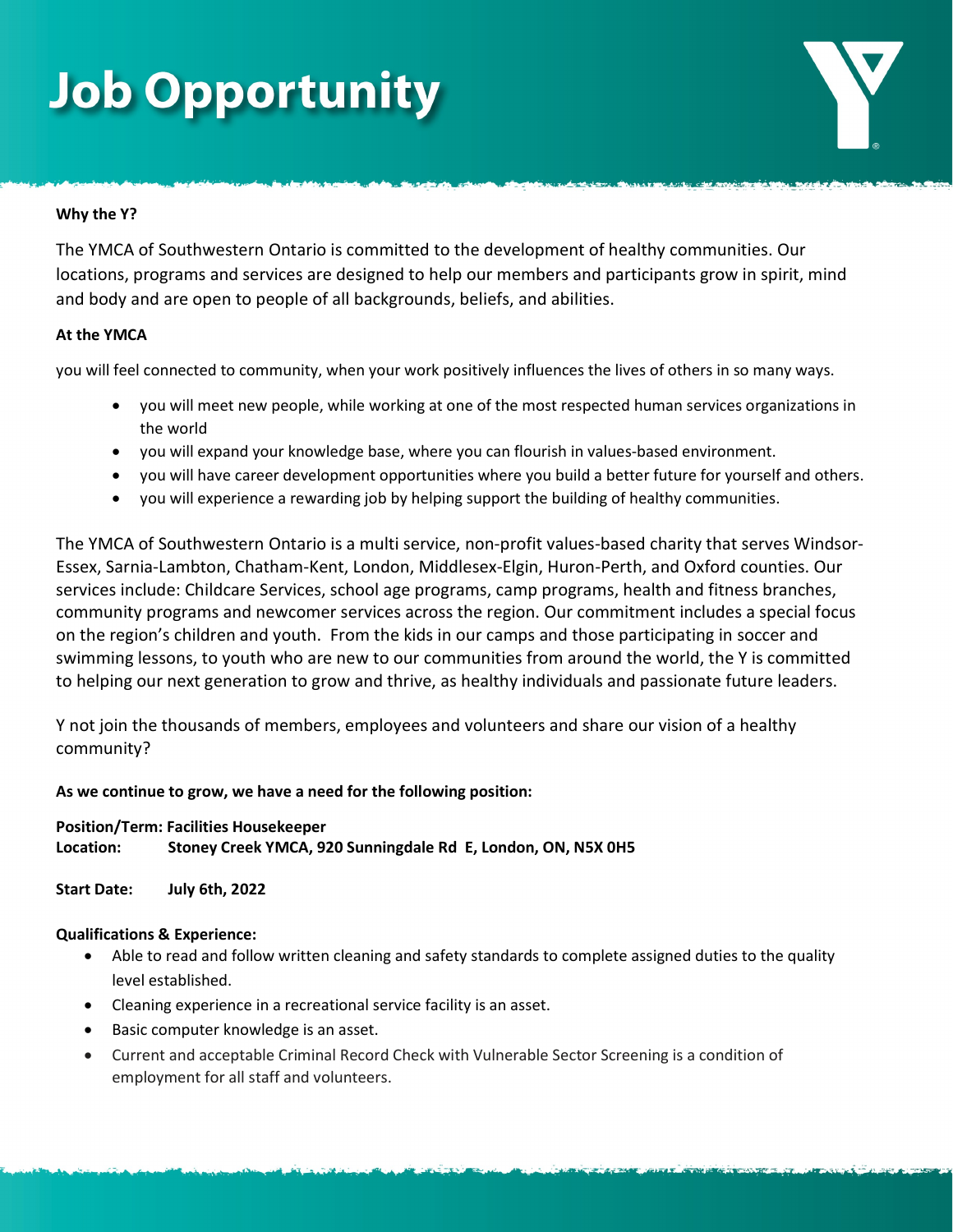# **Job Opportunity**

### Why the Y?

The YMCA of Southwestern Ontario is committed to the development of healthy communities. Our locations, programs and services are designed to help our members and participants grow in spirit, mind and body and are open to people of all backgrounds, beliefs, and abilities.

### At the YMCA

you will feel connected to community, when your work positively influences the lives of others in so many ways.

- you will meet new people, while working at one of the most respected human services organizations in the world
- you will expand your knowledge base, where you can flourish in values-based environment.
- you will have career development opportunities where you build a better future for yourself and others.
- you will experience a rewarding job by helping support the building of healthy communities.

The YMCA of Southwestern Ontario is a multi service, non-profit values-based charity that serves Windsor-Essex, Sarnia-Lambton, Chatham-Kent, London, Middlesex-Elgin, Huron-Perth, and Oxford counties. Our services include: Childcare Services, school age programs, camp programs, health and fitness branches, community programs and newcomer services across the region. Our commitment includes a special focus on the region's children and youth. From the kids in our camps and those participating in soccer and swimming lessons, to youth who are new to our communities from around the world, the Y is committed to helping our next generation to grow and thrive, as healthy individuals and passionate future leaders.

Y not join the thousands of members, employees and volunteers and share our vision of a healthy community?

### As we continue to grow, we have a need for the following position:

### Position/Term: Facilities Housekeeper Location: Stoney Creek YMCA, 920 Sunningdale Rd E, London, ON, N5X 0H5

Start Date: July 6th, 2022

### Qualifications & Experience:

- Able to read and follow written cleaning and safety standards to complete assigned duties to the quality level established.
- Cleaning experience in a recreational service facility is an asset.
- Basic computer knowledge is an asset.
- Current and acceptable Criminal Record Check with Vulnerable Sector Screening is a condition of employment for all staff and volunteers.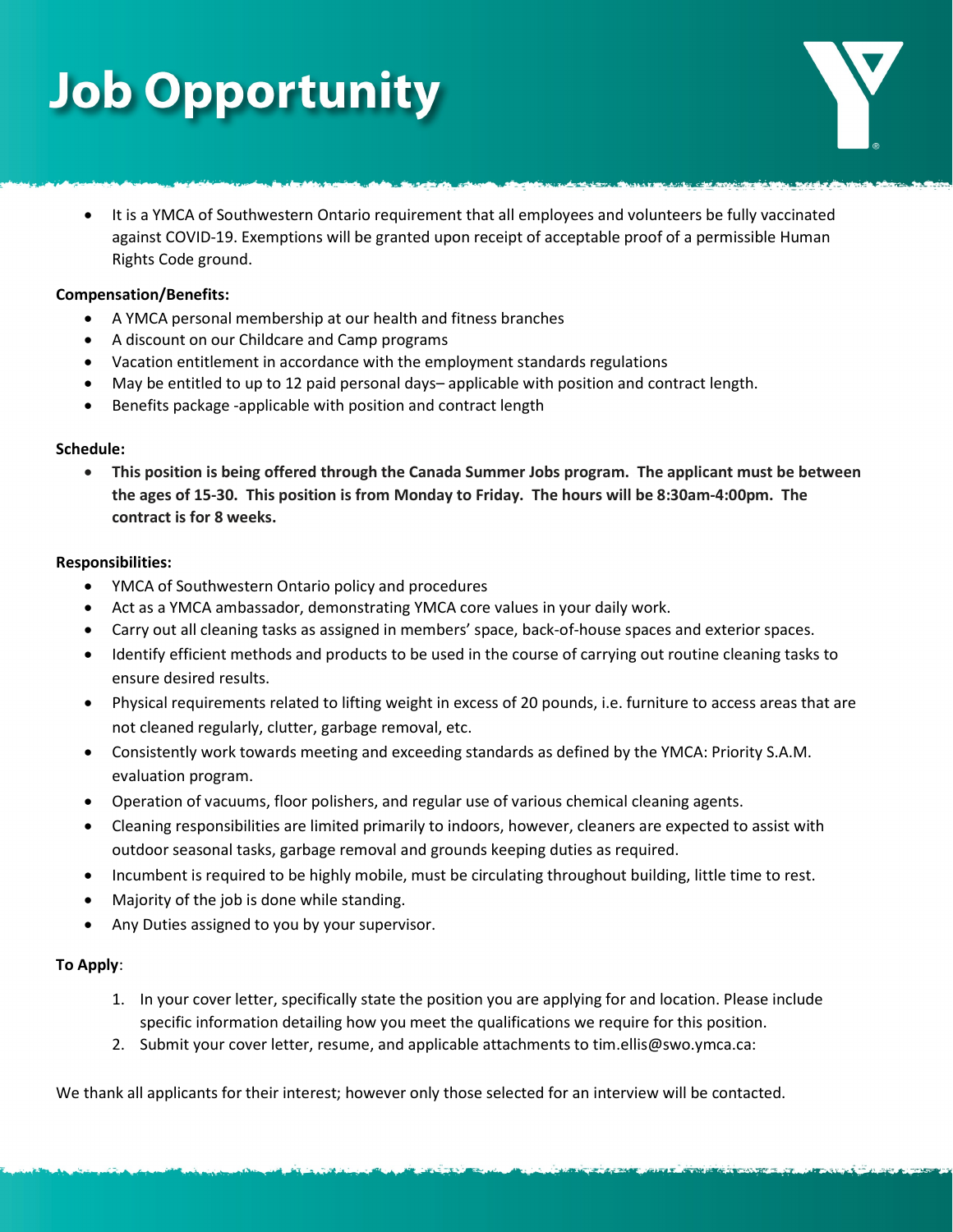# **Job Opportunity**

 It is a YMCA of Southwestern Ontario requirement that all employees and volunteers be fully vaccinated against COVID-19. Exemptions will be granted upon receipt of acceptable proof of a permissible Human Rights Code ground.

### Compensation/Benefits:

- A YMCA personal membership at our health and fitness branches
- A discount on our Childcare and Camp programs
- Vacation entitlement in accordance with the employment standards regulations
- May be entitled to up to 12 paid personal days– applicable with position and contract length.
- Benefits package -applicable with position and contract length

### Schedule:

 This position is being offered through the Canada Summer Jobs program. The applicant must be between the ages of 15-30. This position is from Monday to Friday. The hours will be 8:30am-4:00pm. The contract is for 8 weeks.

### Responsibilities:

- YMCA of Southwestern Ontario policy and procedures
- Act as a YMCA ambassador, demonstrating YMCA core values in your daily work.
- Carry out all cleaning tasks as assigned in members' space, back-of-house spaces and exterior spaces.
- Identify efficient methods and products to be used in the course of carrying out routine cleaning tasks to ensure desired results.
- Physical requirements related to lifting weight in excess of 20 pounds, i.e. furniture to access areas that are not cleaned regularly, clutter, garbage removal, etc.
- Consistently work towards meeting and exceeding standards as defined by the YMCA: Priority S.A.M. evaluation program.
- Operation of vacuums, floor polishers, and regular use of various chemical cleaning agents.
- Cleaning responsibilities are limited primarily to indoors, however, cleaners are expected to assist with outdoor seasonal tasks, garbage removal and grounds keeping duties as required.
- Incumbent is required to be highly mobile, must be circulating throughout building, little time to rest.
- Majority of the job is done while standing.
- Any Duties assigned to you by your supervisor.

### To Apply:

- 1. In your cover letter, specifically state the position you are applying for and location. Please include specific information detailing how you meet the qualifications we require for this position.
- 2. Submit your cover letter, resume, and applicable attachments to tim.ellis@swo.ymca.ca:

We thank all applicants for their interest; however only those selected for an interview will be contacted.